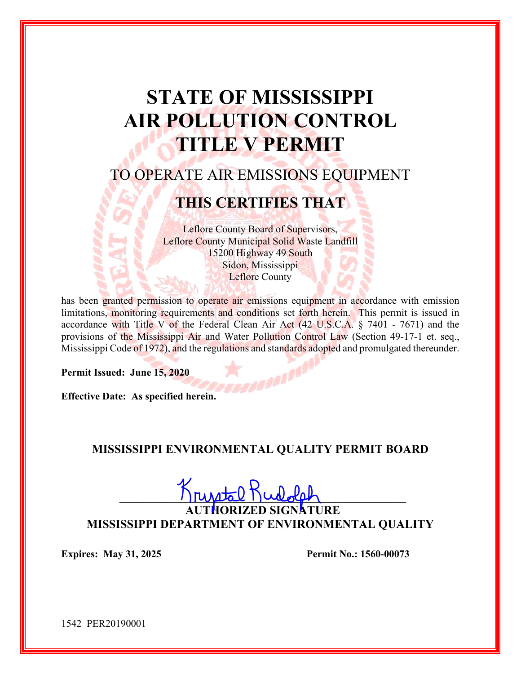# **STATE OF MISSISSIPPI AIR POLLUTION CONTROL TITLE V PERMIT**

## TO OPERATE AIR EMISSIONS EQUIPMENT

## **THIS CERTIFIES THAT**

Leflore County Board of Supervisors, Leflore County Municipal Solid Waste Landfill 15200 Highway 49 South Sidon, Mississippi Leflore County

has been granted permission to operate air emissions equipment in accordance with emission limitations, monitoring requirements and conditions set forth herein. This permit is issued in accordance with Title V of the Federal Clean Air Act (42 U.S.C.A. § 7401 - 7671) and the provisions of the Mississippi Air and Water Pollution Control Law (Section 49-17-1 et. seq., Mississippi Code of 1972), and the regulations and standards adopted and promulgated thereunder.

**Permit Issued: June 15, 2020** 

**Effective Date: As specified herein.** 

## **MISSISSIPPI ENVIRONMENTAL QUALITY PERMIT BOARD**

 $\lim \frac{1}{2}$ 

**AUTHORIZED SIGNATURE MISSISSIPPI DEPARTMENT OF ENVIRONMENTAL QUALITY** 

**Expires: May 31, 2025 Permit No.: 1560-00073** 

1542 PER20190001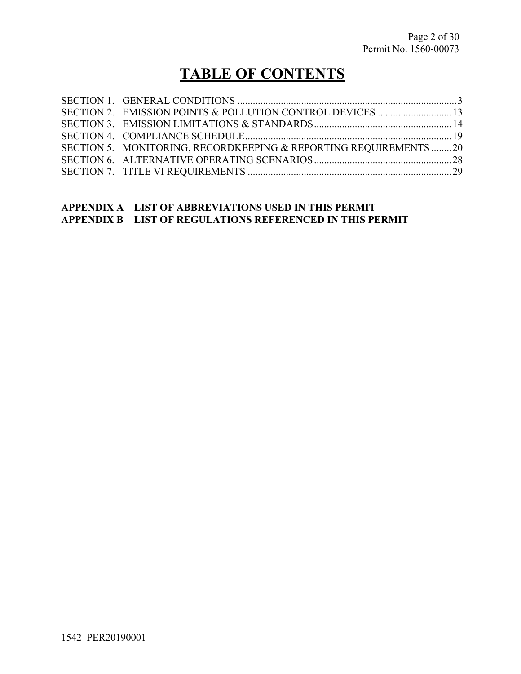## **TABLE OF CONTENTS**

| SECTION 5. MONITORING, RECORDKEEPING & REPORTING REQUIREMENTS20 |  |
|-----------------------------------------------------------------|--|
|                                                                 |  |
|                                                                 |  |

## **APPENDIX A LIST OF ABBREVIATIONS USED IN THIS PERMIT APPENDIX B LIST OF REGULATIONS REFERENCED IN THIS PERMIT**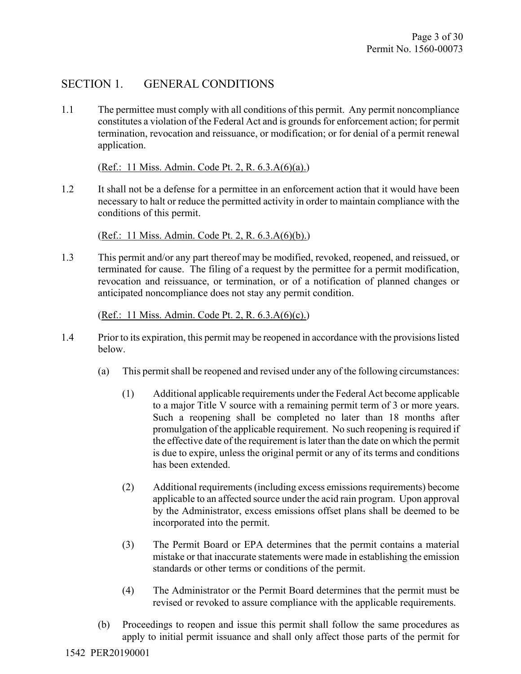## SECTION 1. GENERAL CONDITIONS

1.1 The permittee must comply with all conditions of this permit. Any permit noncompliance constitutes a violation of the Federal Act and is grounds for enforcement action; for permit termination, revocation and reissuance, or modification; or for denial of a permit renewal application.

(Ref.: 11 Miss. Admin. Code Pt. 2, R. 6.3.A(6)(a).)

1.2 It shall not be a defense for a permittee in an enforcement action that it would have been necessary to halt or reduce the permitted activity in order to maintain compliance with the conditions of this permit.

(Ref.: 11 Miss. Admin. Code Pt. 2, R. 6.3.A(6)(b).)

1.3 This permit and/or any part thereof may be modified, revoked, reopened, and reissued, or terminated for cause. The filing of a request by the permittee for a permit modification, revocation and reissuance, or termination, or of a notification of planned changes or anticipated noncompliance does not stay any permit condition.

(Ref.: 11 Miss. Admin. Code Pt. 2, R. 6.3.A(6)(c).)

- 1.4 Prior to its expiration, this permit may be reopened in accordance with the provisions listed below.
	- (a) This permit shall be reopened and revised under any of the following circumstances:
		- (1) Additional applicable requirements under the Federal Act become applicable to a major Title V source with a remaining permit term of 3 or more years. Such a reopening shall be completed no later than 18 months after promulgation of the applicable requirement. No such reopening is required if the effective date of the requirement is later than the date on which the permit is due to expire, unless the original permit or any of its terms and conditions has been extended.
		- (2) Additional requirements (including excess emissions requirements) become applicable to an affected source under the acid rain program. Upon approval by the Administrator, excess emissions offset plans shall be deemed to be incorporated into the permit.
		- (3) The Permit Board or EPA determines that the permit contains a material mistake or that inaccurate statements were made in establishing the emission standards or other terms or conditions of the permit.
		- (4) The Administrator or the Permit Board determines that the permit must be revised or revoked to assure compliance with the applicable requirements.
	- (b) Proceedings to reopen and issue this permit shall follow the same procedures as apply to initial permit issuance and shall only affect those parts of the permit for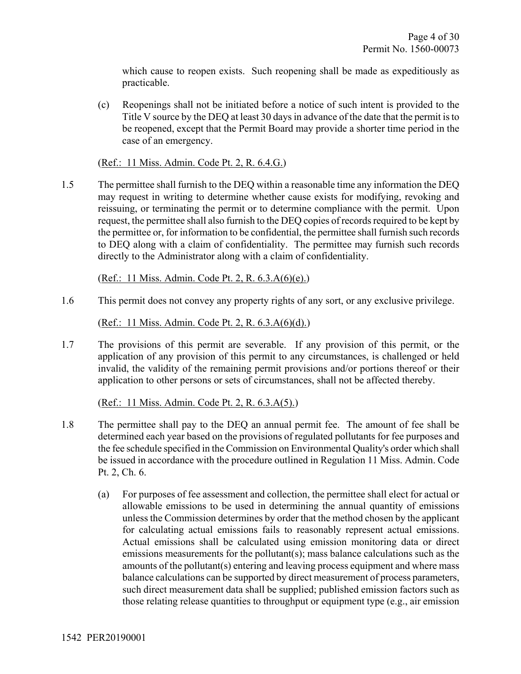which cause to reopen exists. Such reopening shall be made as expeditiously as practicable.

(c) Reopenings shall not be initiated before a notice of such intent is provided to the Title V source by the DEQ at least 30 days in advance of the date that the permit is to be reopened, except that the Permit Board may provide a shorter time period in the case of an emergency.

(Ref.: 11 Miss. Admin. Code Pt. 2, R. 6.4.G.)

1.5 The permittee shall furnish to the DEQ within a reasonable time any information the DEQ may request in writing to determine whether cause exists for modifying, revoking and reissuing, or terminating the permit or to determine compliance with the permit. Upon request, the permittee shall also furnish to the DEQ copies of records required to be kept by the permittee or, for information to be confidential, the permittee shall furnish such records to DEQ along with a claim of confidentiality. The permittee may furnish such records directly to the Administrator along with a claim of confidentiality.

(Ref.: 11 Miss. Admin. Code Pt. 2, R. 6.3.A(6)(e).)

1.6 This permit does not convey any property rights of any sort, or any exclusive privilege.

(Ref.: 11 Miss. Admin. Code Pt. 2, R. 6.3.A(6)(d).)

1.7 The provisions of this permit are severable. If any provision of this permit, or the application of any provision of this permit to any circumstances, is challenged or held invalid, the validity of the remaining permit provisions and/or portions thereof or their application to other persons or sets of circumstances, shall not be affected thereby.

(Ref.: 11 Miss. Admin. Code Pt. 2, R. 6.3.A(5).)

- 1.8 The permittee shall pay to the DEQ an annual permit fee. The amount of fee shall be determined each year based on the provisions of regulated pollutants for fee purposes and the fee schedule specified in the Commission on Environmental Quality's order which shall be issued in accordance with the procedure outlined in Regulation 11 Miss. Admin. Code Pt. 2, Ch. 6.
	- (a) For purposes of fee assessment and collection, the permittee shall elect for actual or allowable emissions to be used in determining the annual quantity of emissions unless the Commission determines by order that the method chosen by the applicant for calculating actual emissions fails to reasonably represent actual emissions. Actual emissions shall be calculated using emission monitoring data or direct emissions measurements for the pollutant(s); mass balance calculations such as the amounts of the pollutant(s) entering and leaving process equipment and where mass balance calculations can be supported by direct measurement of process parameters, such direct measurement data shall be supplied; published emission factors such as those relating release quantities to throughput or equipment type (e.g., air emission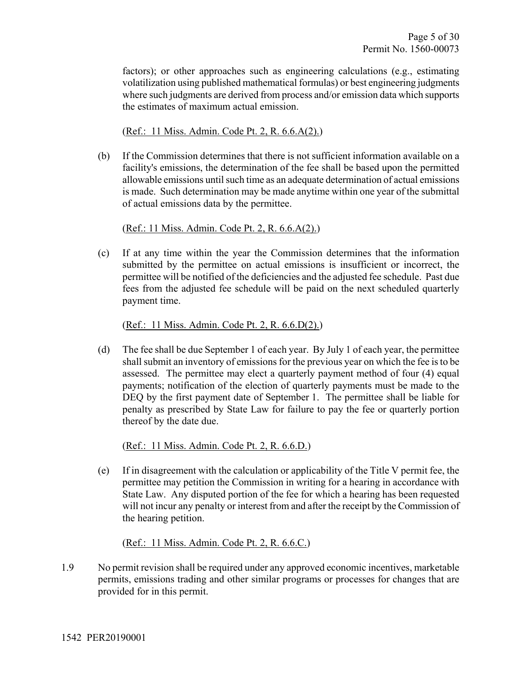factors); or other approaches such as engineering calculations (e.g., estimating volatilization using published mathematical formulas) or best engineering judgments where such judgments are derived from process and/or emission data which supports the estimates of maximum actual emission.

(Ref.: 11 Miss. Admin. Code Pt. 2, R. 6.6.A(2).)

(b) If the Commission determines that there is not sufficient information available on a facility's emissions, the determination of the fee shall be based upon the permitted allowable emissions until such time as an adequate determination of actual emissions is made. Such determination may be made anytime within one year of the submittal of actual emissions data by the permittee.

(Ref.: 11 Miss. Admin. Code Pt. 2, R. 6.6.A(2).)

(c) If at any time within the year the Commission determines that the information submitted by the permittee on actual emissions is insufficient or incorrect, the permittee will be notified of the deficiencies and the adjusted fee schedule. Past due fees from the adjusted fee schedule will be paid on the next scheduled quarterly payment time.

(Ref.: 11 Miss. Admin. Code Pt. 2, R. 6.6.D(2).)

(d) The fee shall be due September 1 of each year. By July 1 of each year, the permittee shall submit an inventory of emissions for the previous year on which the fee is to be assessed. The permittee may elect a quarterly payment method of four (4) equal payments; notification of the election of quarterly payments must be made to the DEQ by the first payment date of September 1. The permittee shall be liable for penalty as prescribed by State Law for failure to pay the fee or quarterly portion thereof by the date due.

(Ref.: 11 Miss. Admin. Code Pt. 2, R. 6.6.D.)

(e) If in disagreement with the calculation or applicability of the Title V permit fee, the permittee may petition the Commission in writing for a hearing in accordance with State Law. Any disputed portion of the fee for which a hearing has been requested will not incur any penalty or interest from and after the receipt by the Commission of the hearing petition.

(Ref.: 11 Miss. Admin. Code Pt. 2, R. 6.6.C.)

1.9 No permit revision shall be required under any approved economic incentives, marketable permits, emissions trading and other similar programs or processes for changes that are provided for in this permit.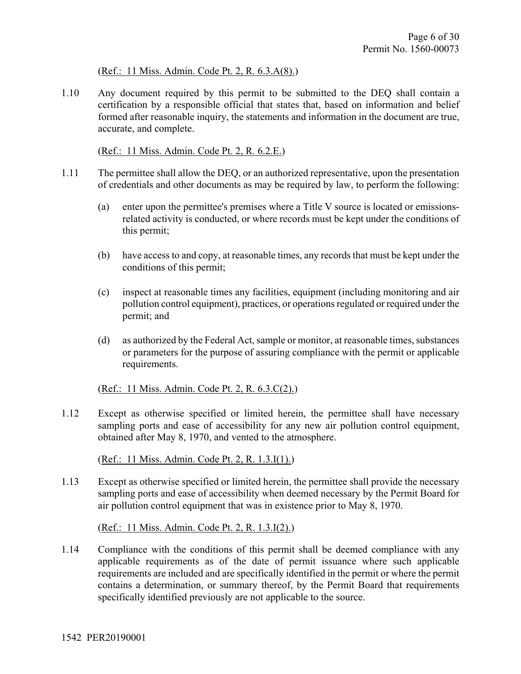### (Ref.: 11 Miss. Admin. Code Pt. 2, R. 6.3.A(8).)

1.10 Any document required by this permit to be submitted to the DEQ shall contain a certification by a responsible official that states that, based on information and belief formed after reasonable inquiry, the statements and information in the document are true, accurate, and complete.

(Ref.: 11 Miss. Admin. Code Pt. 2, R. 6.2.E.)

- 1.11 The permittee shall allow the DEQ, or an authorized representative, upon the presentation of credentials and other documents as may be required by law, to perform the following:
	- (a) enter upon the permittee's premises where a Title V source is located or emissionsrelated activity is conducted, or where records must be kept under the conditions of this permit;
	- (b) have access to and copy, at reasonable times, any records that must be kept under the conditions of this permit;
	- (c) inspect at reasonable times any facilities, equipment (including monitoring and air pollution control equipment), practices, or operations regulated or required under the permit; and
	- (d) as authorized by the Federal Act, sample or monitor, at reasonable times, substances or parameters for the purpose of assuring compliance with the permit or applicable requirements.

(Ref.: 11 Miss. Admin. Code Pt. 2, R. 6.3.C(2).)

1.12 Except as otherwise specified or limited herein, the permittee shall have necessary sampling ports and ease of accessibility for any new air pollution control equipment, obtained after May 8, 1970, and vented to the atmosphere.

(Ref.: 11 Miss. Admin. Code Pt. 2, R. 1.3.I(1).)

1.13 Except as otherwise specified or limited herein, the permittee shall provide the necessary sampling ports and ease of accessibility when deemed necessary by the Permit Board for air pollution control equipment that was in existence prior to May 8, 1970.

(Ref.: 11 Miss. Admin. Code Pt. 2, R. 1.3.I(2).)

1.14 Compliance with the conditions of this permit shall be deemed compliance with any applicable requirements as of the date of permit issuance where such applicable requirements are included and are specifically identified in the permit or where the permit contains a determination, or summary thereof, by the Permit Board that requirements specifically identified previously are not applicable to the source.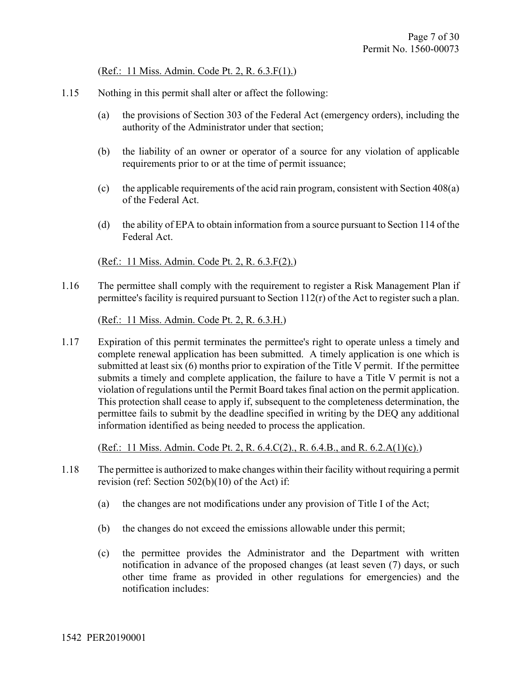(Ref.: 11 Miss. Admin. Code Pt. 2, R. 6.3.F(1).)

- 1.15 Nothing in this permit shall alter or affect the following:
	- (a) the provisions of Section 303 of the Federal Act (emergency orders), including the authority of the Administrator under that section;
	- (b) the liability of an owner or operator of a source for any violation of applicable requirements prior to or at the time of permit issuance;
	- (c) the applicable requirements of the acid rain program, consistent with Section 408(a) of the Federal Act.
	- (d) the ability of EPA to obtain information from a source pursuant to Section 114 of the Federal Act.

(Ref.: 11 Miss. Admin. Code Pt. 2, R. 6.3.F(2).)

1.16 The permittee shall comply with the requirement to register a Risk Management Plan if permittee's facility is required pursuant to Section 112(r) of the Act to register such a plan.

(Ref.: 11 Miss. Admin. Code Pt. 2, R. 6.3.H.)

1.17 Expiration of this permit terminates the permittee's right to operate unless a timely and complete renewal application has been submitted. A timely application is one which is submitted at least six (6) months prior to expiration of the Title V permit. If the permittee submits a timely and complete application, the failure to have a Title V permit is not a violation of regulations until the Permit Board takes final action on the permit application. This protection shall cease to apply if, subsequent to the completeness determination, the permittee fails to submit by the deadline specified in writing by the DEQ any additional information identified as being needed to process the application.

(Ref.: 11 Miss. Admin. Code Pt. 2, R. 6.4.C(2)., R. 6.4.B., and R. 6.2.A(1)(c).)

- 1.18 The permittee is authorized to make changes within their facility without requiring a permit revision (ref: Section 502(b)(10) of the Act) if:
	- (a) the changes are not modifications under any provision of Title I of the Act;
	- (b) the changes do not exceed the emissions allowable under this permit;
	- (c) the permittee provides the Administrator and the Department with written notification in advance of the proposed changes (at least seven (7) days, or such other time frame as provided in other regulations for emergencies) and the notification includes: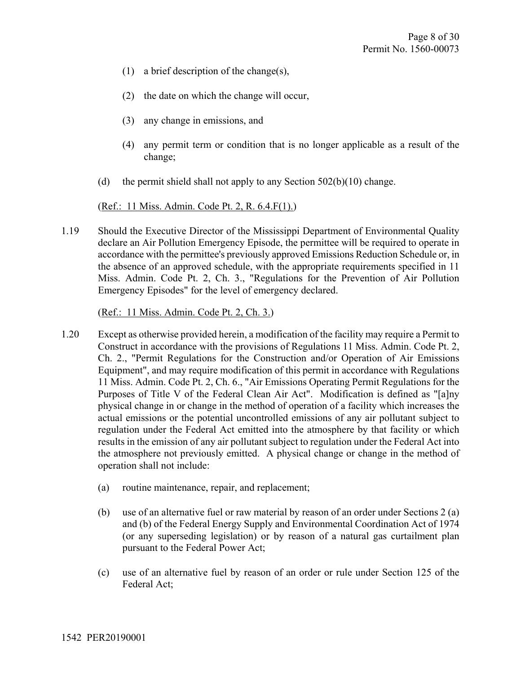- (1) a brief description of the change(s),
- (2) the date on which the change will occur,
- (3) any change in emissions, and
- (4) any permit term or condition that is no longer applicable as a result of the change;
- (d) the permit shield shall not apply to any Section  $502(b)(10)$  change.

(Ref.: 11 Miss. Admin. Code Pt. 2, R. 6.4.F(1).)

1.19 Should the Executive Director of the Mississippi Department of Environmental Quality declare an Air Pollution Emergency Episode, the permittee will be required to operate in accordance with the permittee's previously approved Emissions Reduction Schedule or, in the absence of an approved schedule, with the appropriate requirements specified in 11 Miss. Admin. Code Pt. 2, Ch. 3., "Regulations for the Prevention of Air Pollution Emergency Episodes" for the level of emergency declared.

(Ref.: 11 Miss. Admin. Code Pt. 2, Ch. 3.)

- 1.20 Except as otherwise provided herein, a modification of the facility may require a Permit to Construct in accordance with the provisions of Regulations 11 Miss. Admin. Code Pt. 2, Ch. 2., "Permit Regulations for the Construction and/or Operation of Air Emissions Equipment", and may require modification of this permit in accordance with Regulations 11 Miss. Admin. Code Pt. 2, Ch. 6., "Air Emissions Operating Permit Regulations for the Purposes of Title V of the Federal Clean Air Act". Modification is defined as "[a]ny physical change in or change in the method of operation of a facility which increases the actual emissions or the potential uncontrolled emissions of any air pollutant subject to regulation under the Federal Act emitted into the atmosphere by that facility or which results in the emission of any air pollutant subject to regulation under the Federal Act into the atmosphere not previously emitted. A physical change or change in the method of operation shall not include:
	- (a) routine maintenance, repair, and replacement;
	- (b) use of an alternative fuel or raw material by reason of an order under Sections 2 (a) and (b) of the Federal Energy Supply and Environmental Coordination Act of 1974 (or any superseding legislation) or by reason of a natural gas curtailment plan pursuant to the Federal Power Act;
	- (c) use of an alternative fuel by reason of an order or rule under Section 125 of the Federal Act;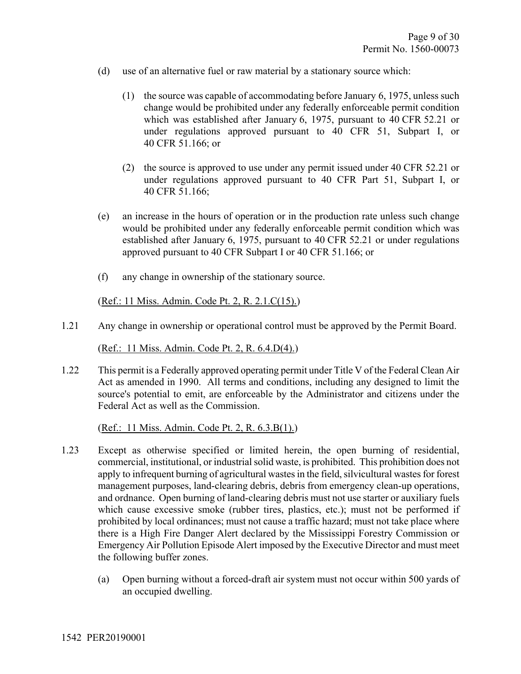- (d) use of an alternative fuel or raw material by a stationary source which:
	- (1) the source was capable of accommodating before January 6, 1975, unless such change would be prohibited under any federally enforceable permit condition which was established after January 6, 1975, pursuant to 40 CFR 52.21 or under regulations approved pursuant to 40 CFR 51, Subpart I, or 40 CFR 51.166; or
	- (2) the source is approved to use under any permit issued under 40 CFR 52.21 or under regulations approved pursuant to 40 CFR Part 51, Subpart I, or 40 CFR 51.166;
- (e) an increase in the hours of operation or in the production rate unless such change would be prohibited under any federally enforceable permit condition which was established after January 6, 1975, pursuant to 40 CFR 52.21 or under regulations approved pursuant to 40 CFR Subpart I or 40 CFR 51.166; or
- (f) any change in ownership of the stationary source.

(Ref.: 11 Miss. Admin. Code Pt. 2, R. 2.1.C(15).)

1.21 Any change in ownership or operational control must be approved by the Permit Board.

(Ref.: 11 Miss. Admin. Code Pt. 2, R. 6.4.D(4).)

1.22 This permit is a Federally approved operating permit under Title V of the Federal Clean Air Act as amended in 1990. All terms and conditions, including any designed to limit the source's potential to emit, are enforceable by the Administrator and citizens under the Federal Act as well as the Commission.

(Ref.: 11 Miss. Admin. Code Pt. 2, R. 6.3.B(1).)

- 1.23 Except as otherwise specified or limited herein, the open burning of residential, commercial, institutional, or industrial solid waste, is prohibited. This prohibition does not apply to infrequent burning of agricultural wastes in the field, silvicultural wastes for forest management purposes, land-clearing debris, debris from emergency clean-up operations, and ordnance. Open burning of land-clearing debris must not use starter or auxiliary fuels which cause excessive smoke (rubber tires, plastics, etc.); must not be performed if prohibited by local ordinances; must not cause a traffic hazard; must not take place where there is a High Fire Danger Alert declared by the Mississippi Forestry Commission or Emergency Air Pollution Episode Alert imposed by the Executive Director and must meet the following buffer zones.
	- (a) Open burning without a forced-draft air system must not occur within 500 yards of an occupied dwelling.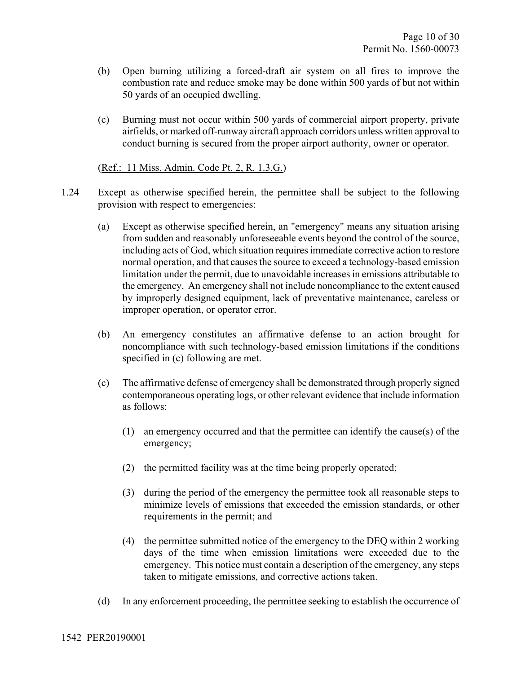- (b) Open burning utilizing a forced-draft air system on all fires to improve the combustion rate and reduce smoke may be done within 500 yards of but not within 50 yards of an occupied dwelling.
- (c) Burning must not occur within 500 yards of commercial airport property, private airfields, or marked off-runway aircraft approach corridors unless written approval to conduct burning is secured from the proper airport authority, owner or operator.

#### (Ref.: 11 Miss. Admin. Code Pt. 2, R. 1.3.G.)

- 1.24 Except as otherwise specified herein, the permittee shall be subject to the following provision with respect to emergencies:
	- (a) Except as otherwise specified herein, an "emergency" means any situation arising from sudden and reasonably unforeseeable events beyond the control of the source, including acts of God, which situation requires immediate corrective action to restore normal operation, and that causes the source to exceed a technology-based emission limitation under the permit, due to unavoidable increases in emissions attributable to the emergency. An emergency shall not include noncompliance to the extent caused by improperly designed equipment, lack of preventative maintenance, careless or improper operation, or operator error.
	- (b) An emergency constitutes an affirmative defense to an action brought for noncompliance with such technology-based emission limitations if the conditions specified in (c) following are met.
	- (c) The affirmative defense of emergency shall be demonstrated through properly signed contemporaneous operating logs, or other relevant evidence that include information as follows:
		- (1) an emergency occurred and that the permittee can identify the cause(s) of the emergency;
		- (2) the permitted facility was at the time being properly operated;
		- (3) during the period of the emergency the permittee took all reasonable steps to minimize levels of emissions that exceeded the emission standards, or other requirements in the permit; and
		- (4) the permittee submitted notice of the emergency to the DEQ within 2 working days of the time when emission limitations were exceeded due to the emergency. This notice must contain a description of the emergency, any steps taken to mitigate emissions, and corrective actions taken.
	- (d) In any enforcement proceeding, the permittee seeking to establish the occurrence of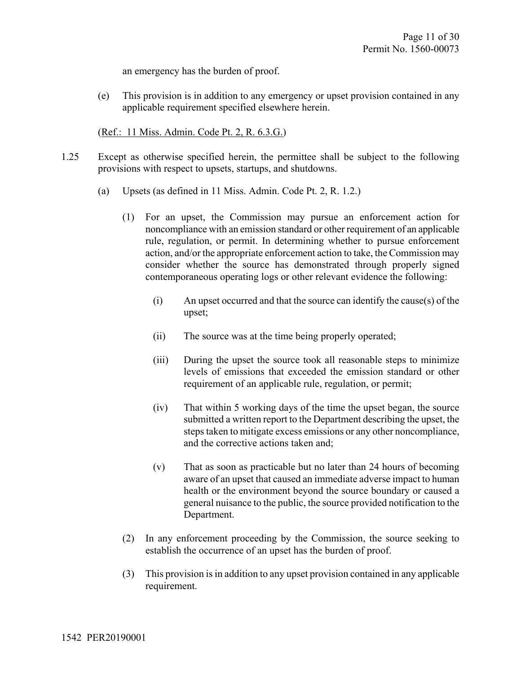an emergency has the burden of proof.

(e) This provision is in addition to any emergency or upset provision contained in any applicable requirement specified elsewhere herein.

(Ref.: 11 Miss. Admin. Code Pt. 2, R. 6.3.G.)

- 1.25 Except as otherwise specified herein, the permittee shall be subject to the following provisions with respect to upsets, startups, and shutdowns.
	- (a) Upsets (as defined in 11 Miss. Admin. Code Pt. 2, R. 1.2.)
		- (1) For an upset, the Commission may pursue an enforcement action for noncompliance with an emission standard or other requirement of an applicable rule, regulation, or permit. In determining whether to pursue enforcement action, and/or the appropriate enforcement action to take, the Commission may consider whether the source has demonstrated through properly signed contemporaneous operating logs or other relevant evidence the following:
			- (i) An upset occurred and that the source can identify the cause(s) of the upset;
			- (ii) The source was at the time being properly operated;
			- (iii) During the upset the source took all reasonable steps to minimize levels of emissions that exceeded the emission standard or other requirement of an applicable rule, regulation, or permit;
			- (iv) That within 5 working days of the time the upset began, the source submitted a written report to the Department describing the upset, the steps taken to mitigate excess emissions or any other noncompliance, and the corrective actions taken and;
			- (v) That as soon as practicable but no later than 24 hours of becoming aware of an upset that caused an immediate adverse impact to human health or the environment beyond the source boundary or caused a general nuisance to the public, the source provided notification to the Department.
		- (2) In any enforcement proceeding by the Commission, the source seeking to establish the occurrence of an upset has the burden of proof.
		- (3) This provision is in addition to any upset provision contained in any applicable requirement.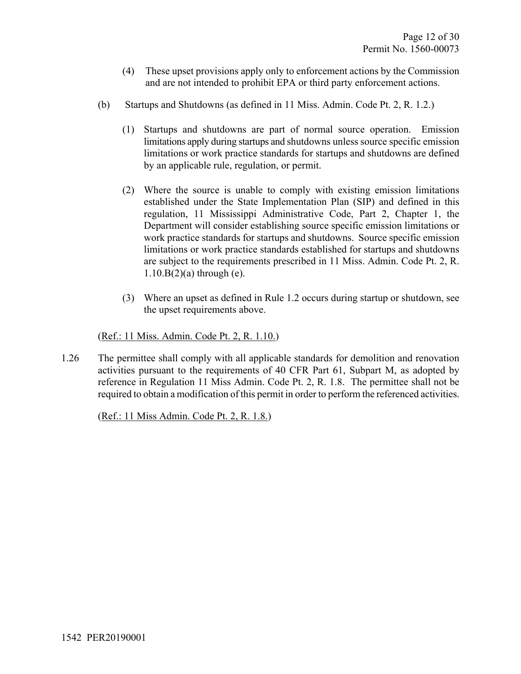- (4) These upset provisions apply only to enforcement actions by the Commission and are not intended to prohibit EPA or third party enforcement actions.
- (b) Startups and Shutdowns (as defined in 11 Miss. Admin. Code Pt. 2, R. 1.2.)
	- (1) Startups and shutdowns are part of normal source operation. Emission limitations apply during startups and shutdowns unless source specific emission limitations or work practice standards for startups and shutdowns are defined by an applicable rule, regulation, or permit.
	- (2) Where the source is unable to comply with existing emission limitations established under the State Implementation Plan (SIP) and defined in this regulation, 11 Mississippi Administrative Code, Part 2, Chapter 1, the Department will consider establishing source specific emission limitations or work practice standards for startups and shutdowns. Source specific emission limitations or work practice standards established for startups and shutdowns are subject to the requirements prescribed in 11 Miss. Admin. Code Pt. 2, R.  $1.10.B(2)$ (a) through (e).
	- (3) Where an upset as defined in Rule 1.2 occurs during startup or shutdown, see the upset requirements above.

#### (Ref.: 11 Miss. Admin. Code Pt. 2, R. 1.10.)

1.26 The permittee shall comply with all applicable standards for demolition and renovation activities pursuant to the requirements of 40 CFR Part 61, Subpart M, as adopted by reference in Regulation 11 Miss Admin. Code Pt. 2, R. 1.8. The permittee shall not be required to obtain a modification of this permit in order to perform the referenced activities.

(Ref.: 11 Miss Admin. Code Pt. 2, R. 1.8.)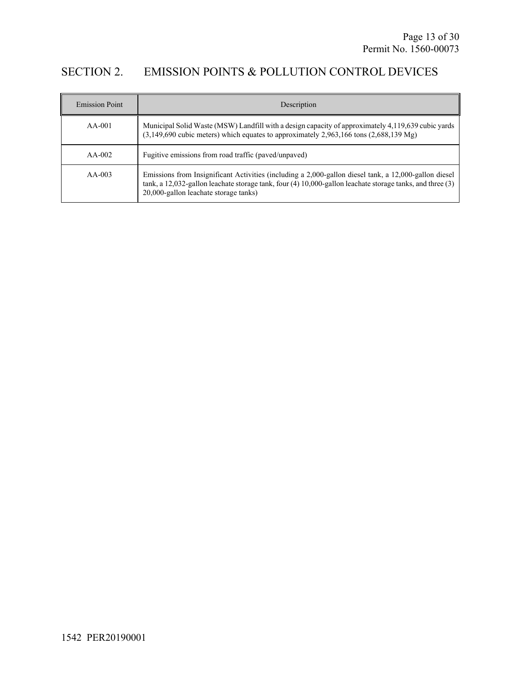## SECTION 2. EMISSION POINTS & POLLUTION CONTROL DEVICES

| <b>Emission Point</b> | Description                                                                                                                                                                                                                                                     |
|-----------------------|-----------------------------------------------------------------------------------------------------------------------------------------------------------------------------------------------------------------------------------------------------------------|
| $AA-001$              | Municipal Solid Waste (MSW) Landfill with a design capacity of approximately 4,119,639 cubic yards<br>$(3,149,690)$ cubic meters) which equates to approximately 2,963,166 tons $(2,688,139)$ Mg)                                                               |
| $AA-002$              | Fugitive emissions from road traffic (paved/unpaved)                                                                                                                                                                                                            |
| $AA-003$              | Emissions from Insignificant Activities (including a 2,000-gallon diesel tank, a 12,000-gallon diesel<br>tank, a 12,032-gallon leachate storage tank, four $(4)$ 10,000-gallon leachate storage tanks, and three $(3)$<br>20,000-gallon leachate storage tanks) |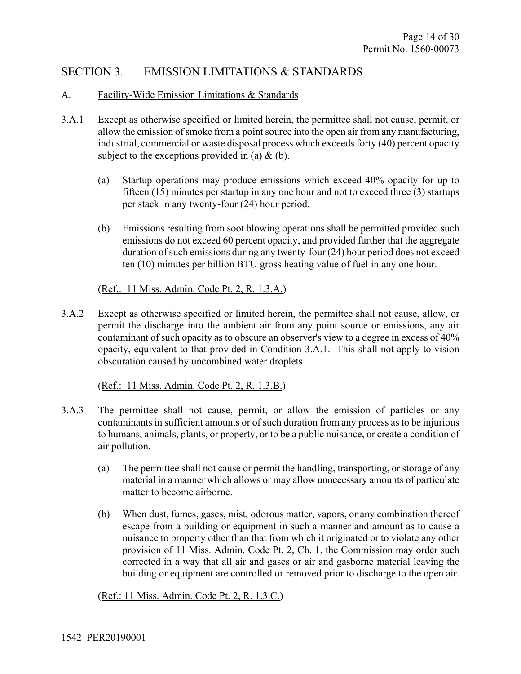## SECTION 3. EMISSION LIMITATIONS & STANDARDS

### A. Facility-Wide Emission Limitations & Standards

- 3.A.1 Except as otherwise specified or limited herein, the permittee shall not cause, permit, or allow the emission of smoke from a point source into the open air from any manufacturing, industrial, commercial or waste disposal process which exceeds forty (40) percent opacity subject to the exceptions provided in (a)  $\&$  (b).
	- (a) Startup operations may produce emissions which exceed 40% opacity for up to fifteen (15) minutes per startup in any one hour and not to exceed three (3) startups per stack in any twenty-four (24) hour period.
	- (b) Emissions resulting from soot blowing operations shall be permitted provided such emissions do not exceed 60 percent opacity, and provided further that the aggregate duration of such emissions during any twenty-four (24) hour period does not exceed ten (10) minutes per billion BTU gross heating value of fuel in any one hour.

## (Ref.: 11 Miss. Admin. Code Pt. 2, R. 1.3.A.)

3.A.2 Except as otherwise specified or limited herein, the permittee shall not cause, allow, or permit the discharge into the ambient air from any point source or emissions, any air contaminant of such opacity as to obscure an observer's view to a degree in excess of 40% opacity, equivalent to that provided in Condition 3.A.1. This shall not apply to vision obscuration caused by uncombined water droplets.

(Ref.: 11 Miss. Admin. Code Pt. 2, R. 1.3.B.)

- 3.A.3 The permittee shall not cause, permit, or allow the emission of particles or any contaminants in sufficient amounts or of such duration from any process as to be injurious to humans, animals, plants, or property, or to be a public nuisance, or create a condition of air pollution.
	- (a) The permittee shall not cause or permit the handling, transporting, or storage of any material in a manner which allows or may allow unnecessary amounts of particulate matter to become airborne.
	- (b) When dust, fumes, gases, mist, odorous matter, vapors, or any combination thereof escape from a building or equipment in such a manner and amount as to cause a nuisance to property other than that from which it originated or to violate any other provision of 11 Miss. Admin. Code Pt. 2, Ch. 1, the Commission may order such corrected in a way that all air and gases or air and gasborne material leaving the building or equipment are controlled or removed prior to discharge to the open air.

(Ref.: 11 Miss. Admin. Code Pt. 2, R. 1.3.C.)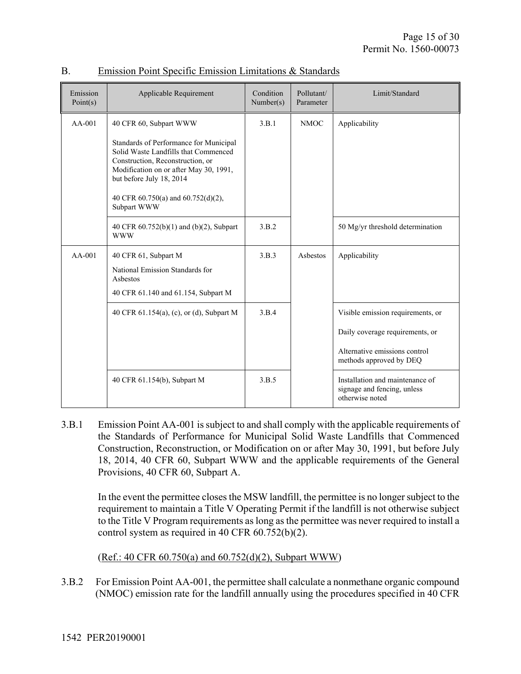| Emission<br>Point(s) | Applicable Requirement                                                                                                                                                                                                                                                  | Condition<br>Number(s) | Pollutant/<br>Parameter | Limit/Standard                                                                                                                   |
|----------------------|-------------------------------------------------------------------------------------------------------------------------------------------------------------------------------------------------------------------------------------------------------------------------|------------------------|-------------------------|----------------------------------------------------------------------------------------------------------------------------------|
| $AA-001$             | 40 CFR 60, Subpart WWW<br>Standards of Performance for Municipal<br>Solid Waste Landfills that Commenced<br>Construction, Reconstruction, or<br>Modification on or after May 30, 1991,<br>but before July 18, 2014<br>40 CFR 60.750(a) and 60.752(d)(2),<br>Subpart WWW | 3.B.1                  | <b>NMOC</b>             | Applicability                                                                                                                    |
|                      | 40 CFR 60.752(b)(1) and (b)(2), Subpart<br><b>WWW</b>                                                                                                                                                                                                                   | 3.B.2                  |                         | 50 Mg/yr threshold determination                                                                                                 |
| $AA-001$             | 40 CFR 61, Subpart M<br>National Emission Standards for<br>Asbestos<br>40 CFR 61.140 and 61.154, Subpart M                                                                                                                                                              | 3.B.3                  | Asbestos                | Applicability                                                                                                                    |
|                      | 40 CFR 61.154(a), (c), or (d), Subpart M                                                                                                                                                                                                                                | 3.B.4                  |                         | Visible emission requirements, or<br>Daily coverage requirements, or<br>Alternative emissions control<br>methods approved by DEQ |
|                      | 40 CFR 61.154(b), Subpart M                                                                                                                                                                                                                                             | 3.B.5                  |                         | Installation and maintenance of<br>signage and fencing, unless<br>otherwise noted                                                |

## B. Emission Point Specific Emission Limitations & Standards

3.B.1 Emission Point AA-001 is subject to and shall comply with the applicable requirements of the Standards of Performance for Municipal Solid Waste Landfills that Commenced Construction, Reconstruction, or Modification on or after May 30, 1991, but before July 18, 2014, 40 CFR 60, Subpart WWW and the applicable requirements of the General Provisions, 40 CFR 60, Subpart A.

In the event the permittee closes the MSW landfill, the permittee is no longer subject to the requirement to maintain a Title V Operating Permit if the landfill is not otherwise subject to the Title V Program requirements as long as the permittee was never required to install a control system as required in 40 CFR 60.752(b)(2).

(Ref.: 40 CFR 60.750(a) and 60.752(d)(2), Subpart WWW)

3.B.2 For Emission Point AA-001, the permittee shall calculate a nonmethane organic compound (NMOC) emission rate for the landfill annually using the procedures specified in 40 CFR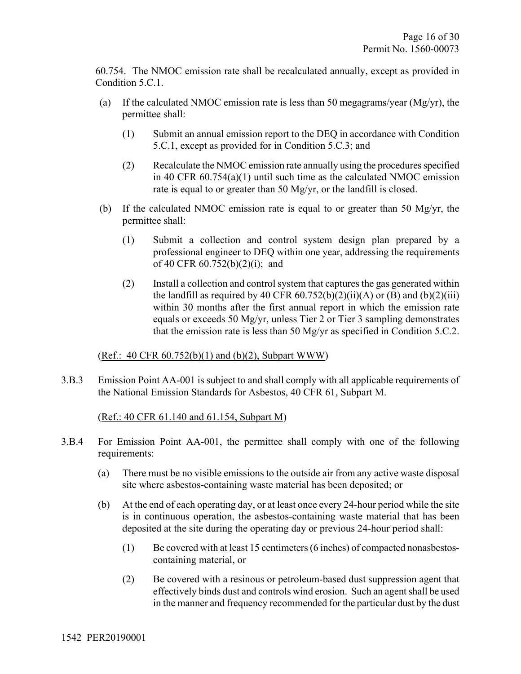60.754. The NMOC emission rate shall be recalculated annually, except as provided in Condition 5.C.1.

- (a) If the calculated NMOC emission rate is less than 50 megagrams/year (Mg/yr), the permittee shall:
	- (1) Submit an annual emission report to the DEQ in accordance with Condition 5.C.1, except as provided for in Condition 5.C.3; and
	- (2) Recalculate the NMOC emission rate annually using the procedures specified in 40 CFR 60.754(a)(1) until such time as the calculated NMOC emission rate is equal to or greater than 50 Mg/yr, or the landfill is closed.
- (b) If the calculated NMOC emission rate is equal to or greater than 50 Mg/yr, the permittee shall:
	- (1) Submit a collection and control system design plan prepared by a professional engineer to DEQ within one year, addressing the requirements of 40 CFR 60.752(b)(2)(i); and
	- (2) Install a collection and control system that captures the gas generated within the landfill as required by 40 CFR  $60.752(b)(2)(ii)(A)$  or (B) and  $(b)(2)(iii)$ within 30 months after the first annual report in which the emission rate equals or exceeds 50 Mg/yr, unless Tier 2 or Tier 3 sampling demonstrates that the emission rate is less than 50 Mg/yr as specified in Condition 5.C.2.

### (Ref.: 40 CFR 60.752(b)(1) and (b)(2), Subpart WWW)

3.B.3 Emission Point AA-001 is subject to and shall comply with all applicable requirements of the National Emission Standards for Asbestos, 40 CFR 61, Subpart M.

### (Ref.: 40 CFR 61.140 and 61.154, Subpart M)

- 3.B.4 For Emission Point AA-001, the permittee shall comply with one of the following requirements:
	- (a) There must be no visible emissions to the outside air from any active waste disposal site where asbestos-containing waste material has been deposited; or
	- (b) At the end of each operating day, or at least once every 24-hour period while the site is in continuous operation, the asbestos-containing waste material that has been deposited at the site during the operating day or previous 24-hour period shall:
		- (1) Be covered with at least 15 centimeters (6 inches) of compacted nonasbestoscontaining material, or
		- (2) Be covered with a resinous or petroleum-based dust suppression agent that effectively binds dust and controls wind erosion. Such an agent shall be used in the manner and frequency recommended for the particular dust by the dust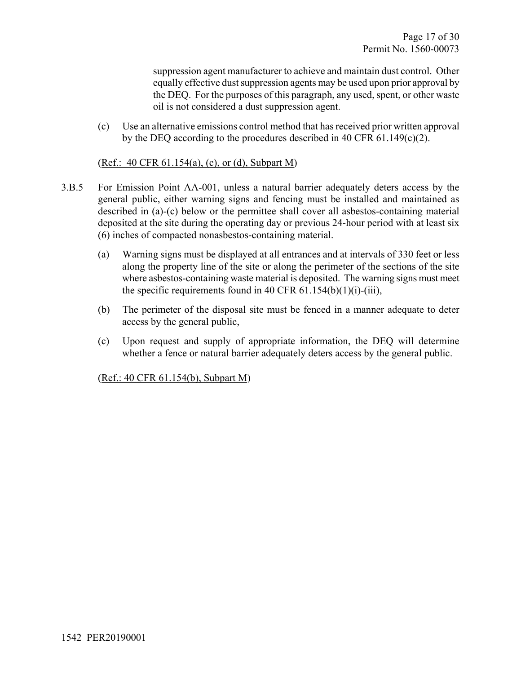suppression agent manufacturer to achieve and maintain dust control. Other equally effective dust suppression agents may be used upon prior approval by the DEQ. For the purposes of this paragraph, any used, spent, or other waste oil is not considered a dust suppression agent.

(c) Use an alternative emissions control method that has received prior written approval by the DEQ according to the procedures described in 40 CFR 61.149(c)(2).

#### (Ref.: 40 CFR 61.154(a), (c), or (d), Subpart M)

- 3.B.5 For Emission Point AA-001, unless a natural barrier adequately deters access by the general public, either warning signs and fencing must be installed and maintained as described in (a)-(c) below or the permittee shall cover all asbestos-containing material deposited at the site during the operating day or previous 24-hour period with at least six (6) inches of compacted nonasbestos-containing material.
	- (a) Warning signs must be displayed at all entrances and at intervals of 330 feet or less along the property line of the site or along the perimeter of the sections of the site where asbestos-containing waste material is deposited. The warning signs must meet the specific requirements found in 40 CFR  $61.154(b)(1)(i)-(iii)$ ,
	- (b) The perimeter of the disposal site must be fenced in a manner adequate to deter access by the general public,
	- (c) Upon request and supply of appropriate information, the DEQ will determine whether a fence or natural barrier adequately deters access by the general public.

(Ref.: 40 CFR 61.154(b), Subpart M)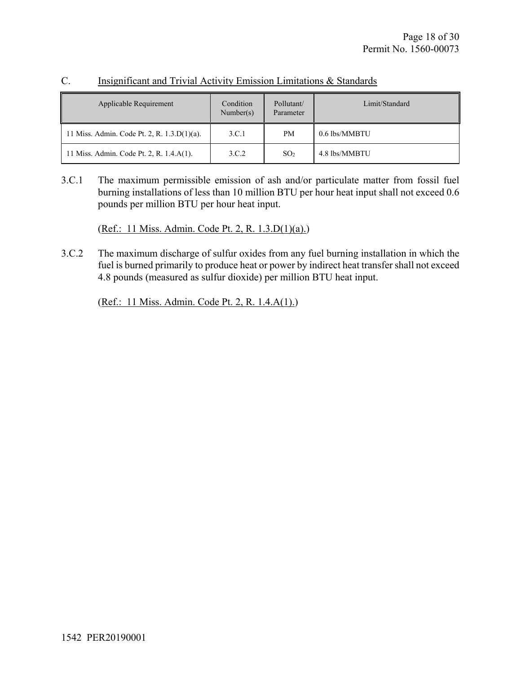| Applicable Requirement                         | Condition<br>Number(s) | Pollutant/<br>Parameter | Limit/Standard |
|------------------------------------------------|------------------------|-------------------------|----------------|
| 11 Miss. Admin. Code Pt. 2, R. $1.3.D(1)(a)$ . | 3.C.1                  | <b>PM</b>               | 0.6 lbs/MMBTU  |
| 11 Miss. Admin. Code Pt. 2, R. 1.4.A(1).       | 3.C.2                  | SO <sub>2</sub>         | 4.8 lbs/MMBTU  |

## C. Insignificant and Trivial Activity Emission Limitations & Standards

3.C.1 The maximum permissible emission of ash and/or particulate matter from fossil fuel burning installations of less than 10 million BTU per hour heat input shall not exceed 0.6 pounds per million BTU per hour heat input.

(Ref.: 11 Miss. Admin. Code Pt. 2, R. 1.3.D(1)(a).)

3.C.2 The maximum discharge of sulfur oxides from any fuel burning installation in which the fuel is burned primarily to produce heat or power by indirect heat transfer shall not exceed 4.8 pounds (measured as sulfur dioxide) per million BTU heat input.

(Ref.: 11 Miss. Admin. Code Pt. 2, R. 1.4.A(1).)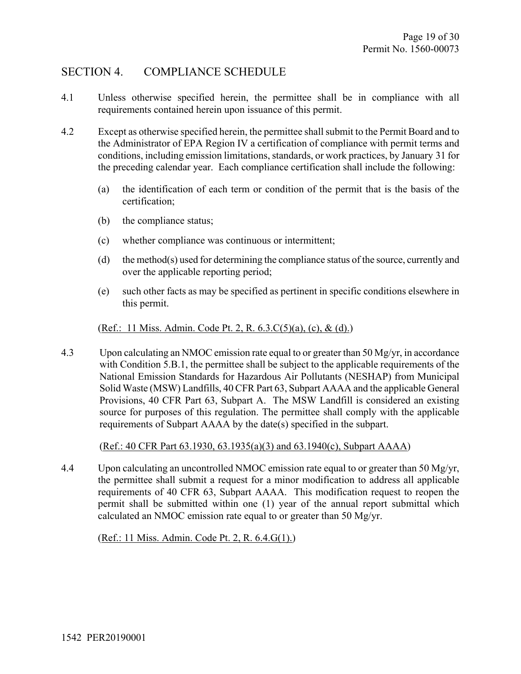## SECTION 4. COMPLIANCE SCHEDULE

- 4.1 Unless otherwise specified herein, the permittee shall be in compliance with all requirements contained herein upon issuance of this permit.
- 4.2 Except as otherwise specified herein, the permittee shall submit to the Permit Board and to the Administrator of EPA Region IV a certification of compliance with permit terms and conditions, including emission limitations, standards, or work practices, by January 31 for the preceding calendar year. Each compliance certification shall include the following:
	- (a) the identification of each term or condition of the permit that is the basis of the certification;
	- (b) the compliance status;
	- (c) whether compliance was continuous or intermittent;
	- (d) the method(s) used for determining the compliance status of the source, currently and over the applicable reporting period;
	- (e) such other facts as may be specified as pertinent in specific conditions elsewhere in this permit.

### (Ref.: 11 Miss. Admin. Code Pt. 2, R. 6.3.C(5)(a), (c), & (d).)

4.3 Upon calculating an NMOC emission rate equal to or greater than 50 Mg/yr, in accordance with Condition 5.B.1, the permittee shall be subject to the applicable requirements of the National Emission Standards for Hazardous Air Pollutants (NESHAP) from Municipal Solid Waste (MSW) Landfills, 40 CFR Part 63, Subpart AAAA and the applicable General Provisions, 40 CFR Part 63, Subpart A. The MSW Landfill is considered an existing source for purposes of this regulation. The permittee shall comply with the applicable requirements of Subpart AAAA by the date(s) specified in the subpart.

(Ref.: 40 CFR Part 63.1930, 63.1935(a)(3) and 63.1940(c), Subpart AAAA)

4.4 Upon calculating an uncontrolled NMOC emission rate equal to or greater than 50 Mg/yr, the permittee shall submit a request for a minor modification to address all applicable requirements of 40 CFR 63, Subpart AAAA. This modification request to reopen the permit shall be submitted within one (1) year of the annual report submittal which calculated an NMOC emission rate equal to or greater than 50 Mg/yr.

(Ref.: 11 Miss. Admin. Code Pt. 2, R. 6.4.G(1).)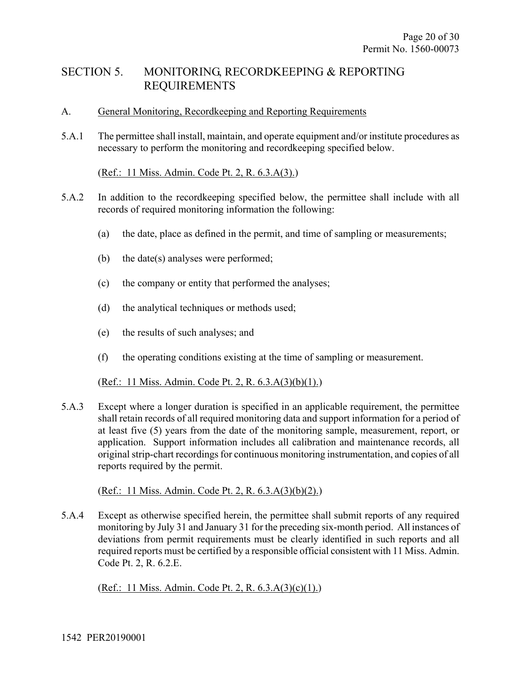## SECTION 5. MONITORING, RECORDKEEPING & REPORTING REQUIREMENTS

## A. General Monitoring, Recordkeeping and Reporting Requirements

5.A.1 The permittee shall install, maintain, and operate equipment and/or institute procedures as necessary to perform the monitoring and recordkeeping specified below.

## (Ref.: 11 Miss. Admin. Code Pt. 2, R. 6.3.A(3).)

- 5.A.2 In addition to the recordkeeping specified below, the permittee shall include with all records of required monitoring information the following:
	- (a) the date, place as defined in the permit, and time of sampling or measurements;
	- (b) the date(s) analyses were performed;
	- (c) the company or entity that performed the analyses;
	- (d) the analytical techniques or methods used;
	- (e) the results of such analyses; and
	- (f) the operating conditions existing at the time of sampling or measurement.

### (Ref.: 11 Miss. Admin. Code Pt. 2, R. 6.3.A(3)(b)(1).)

5.A.3 Except where a longer duration is specified in an applicable requirement, the permittee shall retain records of all required monitoring data and support information for a period of at least five (5) years from the date of the monitoring sample, measurement, report, or application. Support information includes all calibration and maintenance records, all original strip-chart recordings for continuous monitoring instrumentation, and copies of all reports required by the permit.

### (Ref.: 11 Miss. Admin. Code Pt. 2, R. 6.3.A(3)(b)(2).)

5.A.4 Except as otherwise specified herein, the permittee shall submit reports of any required monitoring by July 31 and January 31 for the preceding six-month period. All instances of deviations from permit requirements must be clearly identified in such reports and all required reports must be certified by a responsible official consistent with 11 Miss. Admin. Code Pt. 2, R. 6.2.E.

(Ref.: 11 Miss. Admin. Code Pt. 2, R. 6.3.A(3)(c)(1).)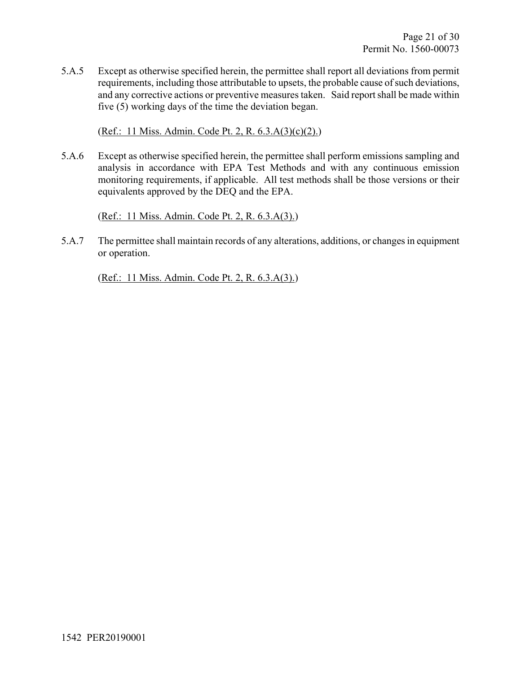5.A.5 Except as otherwise specified herein, the permittee shall report all deviations from permit requirements, including those attributable to upsets, the probable cause of such deviations, and any corrective actions or preventive measures taken. Said report shall be made within five (5) working days of the time the deviation began.

(Ref.: 11 Miss. Admin. Code Pt. 2, R. 6.3.A(3)(c)(2).)

5.A.6 Except as otherwise specified herein, the permittee shall perform emissions sampling and analysis in accordance with EPA Test Methods and with any continuous emission monitoring requirements, if applicable. All test methods shall be those versions or their equivalents approved by the DEQ and the EPA.

(Ref.: 11 Miss. Admin. Code Pt. 2, R. 6.3.A(3).)

5.A.7 The permittee shall maintain records of any alterations, additions, or changes in equipment or operation.

(Ref.: 11 Miss. Admin. Code Pt. 2, R. 6.3.A(3).)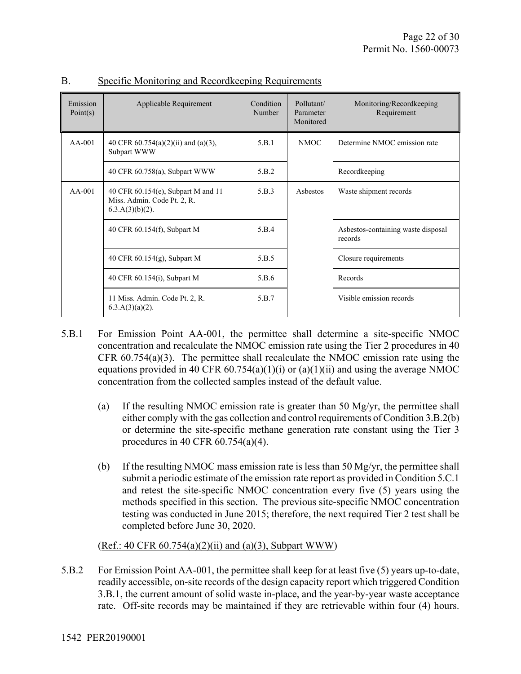| Emission<br>Point(s) | Applicable Requirement                                                                  | Condition<br>Number | Pollutant/<br>Parameter<br>Monitored | Monitoring/Recordkeeping<br>Requirement       |
|----------------------|-----------------------------------------------------------------------------------------|---------------------|--------------------------------------|-----------------------------------------------|
| $AA-001$             | 40 CFR $60.754(a)(2)(ii)$ and $(a)(3)$ ,<br>Subpart WWW                                 | 5.B.1               | NMOC.                                | Determine NMOC emission rate                  |
|                      | 40 CFR 60.758(a), Subpart WWW                                                           | 5.B.2               |                                      | Recordkeeping                                 |
| $AA-001$             | 40 CFR 60.154(e), Subpart M and 11<br>Miss. Admin. Code Pt. 2, R.<br>$6.3.A(3)(b)(2)$ . | 5.B.3               | Asbestos                             | Waste shipment records                        |
|                      | 40 CFR 60.154(f), Subpart M                                                             | 5.B.4               |                                      | Asbestos-containing waste disposal<br>records |
|                      | 40 CFR $60.154(g)$ , Subpart M                                                          | 5.B.5               |                                      | Closure requirements                          |
|                      | 40 CFR 60.154(i), Subpart M                                                             | 5.B.6               |                                      | Records                                       |
|                      | 11 Miss. Admin. Code Pt. 2, R.<br>$6.3.A(3)(a)(2)$ .                                    | 5.B.7               |                                      | Visible emission records                      |

### B. Specific Monitoring and Recordkeeping Requirements

- 5.B.1 For Emission Point AA-001, the permittee shall determine a site-specific NMOC concentration and recalculate the NMOC emission rate using the Tier 2 procedures in 40 CFR  $60.754(a)(3)$ . The permittee shall recalculate the NMOC emission rate using the equations provided in 40 CFR 60.754(a)(1)(i) or (a)(1)(ii) and using the average NMOC concentration from the collected samples instead of the default value.
	- (a) If the resulting NMOC emission rate is greater than 50 Mg/yr, the permittee shall either comply with the gas collection and control requirements of Condition 3.B.2(b) or determine the site-specific methane generation rate constant using the Tier 3 procedures in 40 CFR 60.754(a)(4).
	- (b) If the resulting NMOC mass emission rate is less than 50 Mg/yr, the permittee shall submit a periodic estimate of the emission rate report as provided in Condition 5.C.1 and retest the site-specific NMOC concentration every five (5) years using the methods specified in this section. The previous site-specific NMOC concentration testing was conducted in June 2015; therefore, the next required Tier 2 test shall be completed before June 30, 2020.

## $(Ref.: 40 CFR 60.754(a)(2)(ii)$  and  $(a)(3)$ , Subpart WWW)

5.B.2 For Emission Point AA-001, the permittee shall keep for at least five (5) years up-to-date, readily accessible, on-site records of the design capacity report which triggered Condition 3.B.1, the current amount of solid waste in-place, and the year-by-year waste acceptance rate. Off-site records may be maintained if they are retrievable within four (4) hours.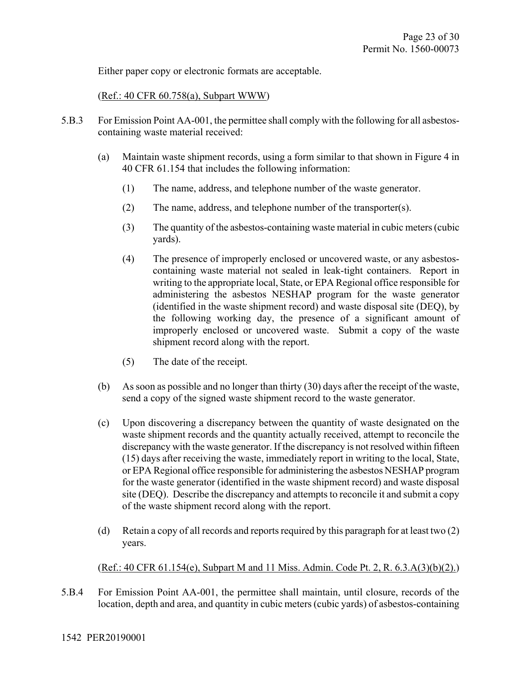Either paper copy or electronic formats are acceptable.

(Ref.: 40 CFR 60.758(a), Subpart WWW)

- 5.B.3 For Emission Point AA-001, the permittee shall comply with the following for all asbestoscontaining waste material received:
	- (a) Maintain waste shipment records, using a form similar to that shown in Figure 4 in 40 CFR 61.154 that includes the following information:
		- (1) The name, address, and telephone number of the waste generator.
		- (2) The name, address, and telephone number of the transporter(s).
		- (3) The quantity of the asbestos-containing waste material in cubic meters (cubic yards).
		- (4) The presence of improperly enclosed or uncovered waste, or any asbestoscontaining waste material not sealed in leak-tight containers. Report in writing to the appropriate local, State, or EPA Regional office responsible for administering the asbestos NESHAP program for the waste generator (identified in the waste shipment record) and waste disposal site (DEQ), by the following working day, the presence of a significant amount of improperly enclosed or uncovered waste. Submit a copy of the waste shipment record along with the report.
		- (5) The date of the receipt.
	- (b) As soon as possible and no longer than thirty (30) days after the receipt of the waste, send a copy of the signed waste shipment record to the waste generator.
	- (c) Upon discovering a discrepancy between the quantity of waste designated on the waste shipment records and the quantity actually received, attempt to reconcile the discrepancy with the waste generator. If the discrepancy is not resolved within fifteen (15) days after receiving the waste, immediately report in writing to the local, State, or EPA Regional office responsible for administering the asbestos NESHAP program for the waste generator (identified in the waste shipment record) and waste disposal site (DEQ). Describe the discrepancy and attempts to reconcile it and submit a copy of the waste shipment record along with the report.
	- (d) Retain a copy of all records and reports required by this paragraph for at least two (2) years.

## (Ref.: 40 CFR 61.154(e), Subpart M and 11 Miss. Admin. Code Pt. 2, R. 6.3.A(3)(b)(2).)

5.B.4 For Emission Point AA-001, the permittee shall maintain, until closure, records of the location, depth and area, and quantity in cubic meters (cubic yards) of asbestos-containing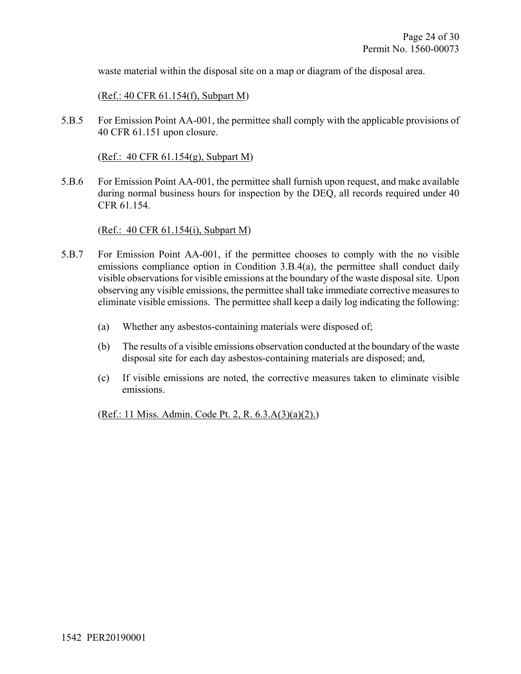waste material within the disposal site on a map or diagram of the disposal area.

(Ref.: 40 CFR 61.154(f), Subpart M)

5.B.5 For Emission Point AA-001, the permittee shall comply with the applicable provisions of 40 CFR 61.151 upon closure.

(Ref.: 40 CFR 61.154(g), Subpart M)

5.B.6 For Emission Point AA-001, the permittee shall furnish upon request, and make available during normal business hours for inspection by the DEQ, all records required under 40 CFR 61.154.

#### (Ref.: 40 CFR 61.154(i), Subpart M)

- 5.B.7 For Emission Point AA-001, if the permittee chooses to comply with the no visible emissions compliance option in Condition 3.B.4(a), the permittee shall conduct daily visible observations for visible emissions at the boundary of the waste disposal site. Upon observing any visible emissions, the permittee shall take immediate corrective measures to eliminate visible emissions. The permittee shall keep a daily log indicating the following:
	- (a) Whether any asbestos-containing materials were disposed of;
	- (b) The results of a visible emissions observation conducted at the boundary of the waste disposal site for each day asbestos-containing materials are disposed; and,
	- (c) If visible emissions are noted, the corrective measures taken to eliminate visible emissions.

(Ref.: 11 Miss. Admin. Code Pt. 2, R. 6.3.A(3)(a)(2).)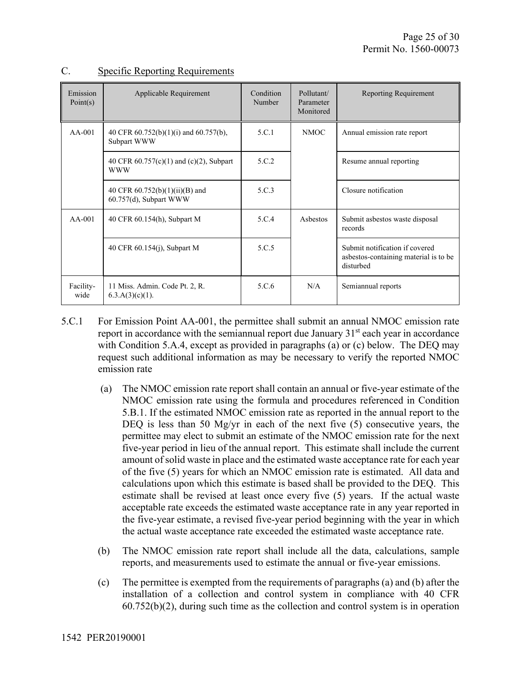| Emission<br>Point(s) | Applicable Requirement                                     | Condition<br>Number | Pollutant/<br>Parameter<br>Monitored | Reporting Requirement                                                                |
|----------------------|------------------------------------------------------------|---------------------|--------------------------------------|--------------------------------------------------------------------------------------|
| $AA-001$             | 40 CFR 60.752(b)(1)(i) and 60.757(b),<br>Subpart WWW       | 5.C.1               | <b>NMOC</b>                          | Annual emission rate report                                                          |
|                      | 40 CFR 60.757(c)(1) and (c)(2), Subpart<br><b>WWW</b>      | 5.C.2               |                                      | Resume annual reporting                                                              |
|                      | 40 CFR $60.752(b)(1)(ii)(B)$ and<br>60.757(d), Subpart WWW | 5.C.3               |                                      | Closure notification                                                                 |
| $AA-001$             | 40 CFR 60.154(h), Subpart M                                | 5.C.4               | Asbestos                             | Submit asbestos waste disposal<br>records                                            |
|                      | 40 CFR 60.154(j), Subpart M                                | 5.C.5               |                                      | Submit notification if covered<br>asbestos-containing material is to be<br>disturbed |
| Facility-<br>wide    | 11 Miss. Admin. Code Pt. 2, R.<br>$6.3.A(3)(c)(1)$ .       | 5.C.6               | N/A                                  | Semiannual reports                                                                   |

## C. Specific Reporting Requirements

- 5.C.1 For Emission Point AA-001, the permittee shall submit an annual NMOC emission rate report in accordance with the semiannual report due January  $31<sup>st</sup>$  each year in accordance with Condition 5.A.4, except as provided in paragraphs (a) or (c) below. The DEQ may request such additional information as may be necessary to verify the reported NMOC emission rate
	- (a) The NMOC emission rate report shall contain an annual or five-year estimate of the NMOC emission rate using the formula and procedures referenced in Condition 5.B.1. If the estimated NMOC emission rate as reported in the annual report to the DEQ is less than 50 Mg/yr in each of the next five  $(5)$  consecutive years, the permittee may elect to submit an estimate of the NMOC emission rate for the next five-year period in lieu of the annual report. This estimate shall include the current amount of solid waste in place and the estimated waste acceptance rate for each year of the five (5) years for which an NMOC emission rate is estimated. All data and calculations upon which this estimate is based shall be provided to the DEQ. This estimate shall be revised at least once every five (5) years. If the actual waste acceptable rate exceeds the estimated waste acceptance rate in any year reported in the five-year estimate, a revised five-year period beginning with the year in which the actual waste acceptance rate exceeded the estimated waste acceptance rate.
	- (b) The NMOC emission rate report shall include all the data, calculations, sample reports, and measurements used to estimate the annual or five-year emissions.
	- (c) The permittee is exempted from the requirements of paragraphs (a) and (b) after the installation of a collection and control system in compliance with 40 CFR 60.752(b)(2), during such time as the collection and control system is in operation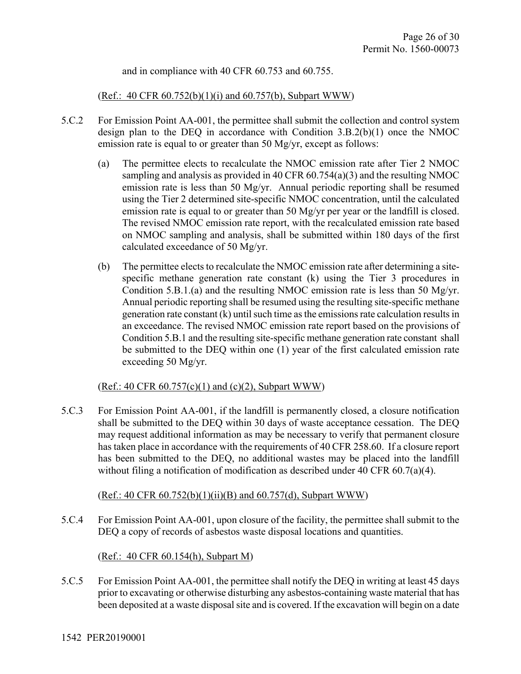and in compliance with 40 CFR 60.753 and 60.755.

(Ref.: 40 CFR  $60.752(b)(1)(i)$  and  $60.757(b)$ , Subpart WWW)

- 5.C.2 For Emission Point AA-001, the permittee shall submit the collection and control system design plan to the DEQ in accordance with Condition 3.B.2(b)(1) once the NMOC emission rate is equal to or greater than 50 Mg/yr, except as follows:
	- (a) The permittee elects to recalculate the NMOC emission rate after Tier 2 NMOC sampling and analysis as provided in 40 CFR 60.754(a)(3) and the resulting NMOC emission rate is less than 50 Mg/yr. Annual periodic reporting shall be resumed using the Tier 2 determined site-specific NMOC concentration, until the calculated emission rate is equal to or greater than 50 Mg/yr per year or the landfill is closed. The revised NMOC emission rate report, with the recalculated emission rate based on NMOC sampling and analysis, shall be submitted within 180 days of the first calculated exceedance of 50 Mg/yr.
	- (b) The permittee elects to recalculate the NMOC emission rate after determining a sitespecific methane generation rate constant (k) using the Tier 3 procedures in Condition 5.B.1.(a) and the resulting NMOC emission rate is less than 50 Mg/yr. Annual periodic reporting shall be resumed using the resulting site-specific methane generation rate constant (k) until such time as the emissions rate calculation results in an exceedance. The revised NMOC emission rate report based on the provisions of Condition 5.B.1 and the resulting site-specific methane generation rate constant shall be submitted to the DEQ within one (1) year of the first calculated emission rate exceeding 50 Mg/yr.

### (Ref.: 40 CFR  $60.757(c)(1)$  and  $(c)(2)$ , Subpart WWW)

5.C.3 For Emission Point AA-001, if the landfill is permanently closed, a closure notification shall be submitted to the DEQ within 30 days of waste acceptance cessation. The DEQ may request additional information as may be necessary to verify that permanent closure has taken place in accordance with the requirements of 40 CFR 258.60. If a closure report has been submitted to the DEQ, no additional wastes may be placed into the landfill without filing a notification of modification as described under 40 CFR 60.7(a)(4).

### $(Ref.: 40 CFR 60.752(b)(1)(ii)(B)$  and  $60.757(d)$ , Subpart WWW)

5.C.4 For Emission Point AA-001, upon closure of the facility, the permittee shall submit to the DEQ a copy of records of asbestos waste disposal locations and quantities.

(Ref.: 40 CFR 60.154(h), Subpart M)

5.C.5 For Emission Point AA-001, the permittee shall notify the DEQ in writing at least 45 days prior to excavating or otherwise disturbing any asbestos-containing waste material that has been deposited at a waste disposal site and is covered. If the excavation will begin on a date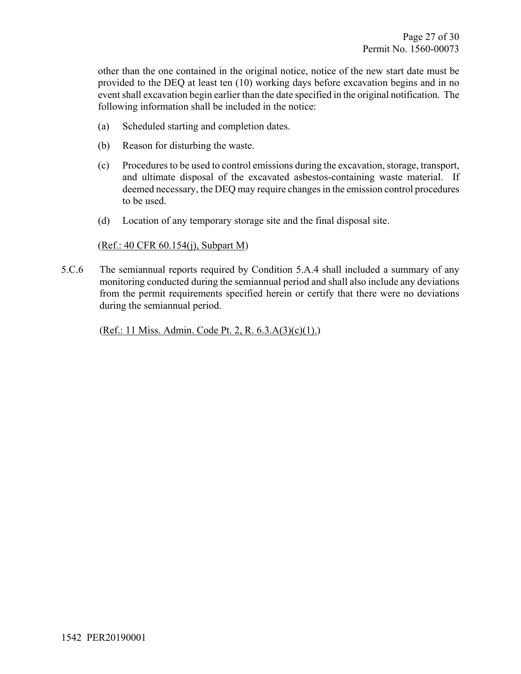other than the one contained in the original notice, notice of the new start date must be provided to the DEQ at least ten (10) working days before excavation begins and in no event shall excavation begin earlier than the date specified in the original notification. The following information shall be included in the notice:

- (a) Scheduled starting and completion dates.
- (b) Reason for disturbing the waste.
- (c) Procedures to be used to control emissions during the excavation, storage, transport, and ultimate disposal of the excavated asbestos-containing waste material. If deemed necessary, the DEQ may require changes in the emission control procedures to be used.
- (d) Location of any temporary storage site and the final disposal site.

#### (Ref.: 40 CFR 60.154(j), Subpart M)

5.C.6 The semiannual reports required by Condition 5.A.4 shall included a summary of any monitoring conducted during the semiannual period and shall also include any deviations from the permit requirements specified herein or certify that there were no deviations during the semiannual period.

(Ref.: 11 Miss. Admin. Code Pt. 2, R. 6.3.A(3)(c)(1).)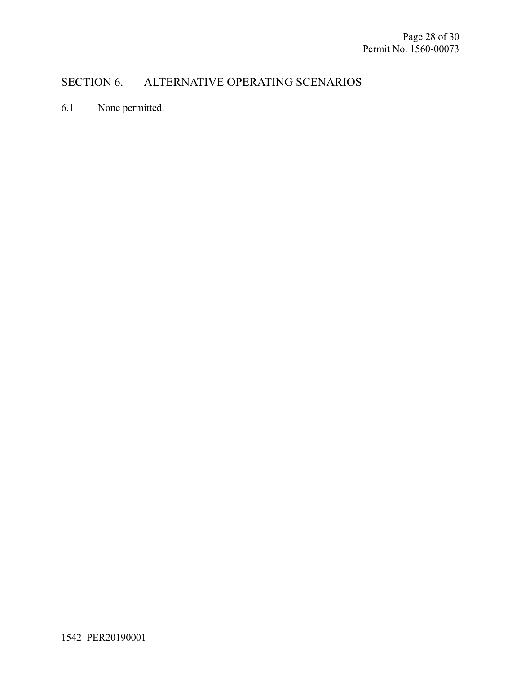## SECTION 6. ALTERNATIVE OPERATING SCENARIOS

6.1 None permitted.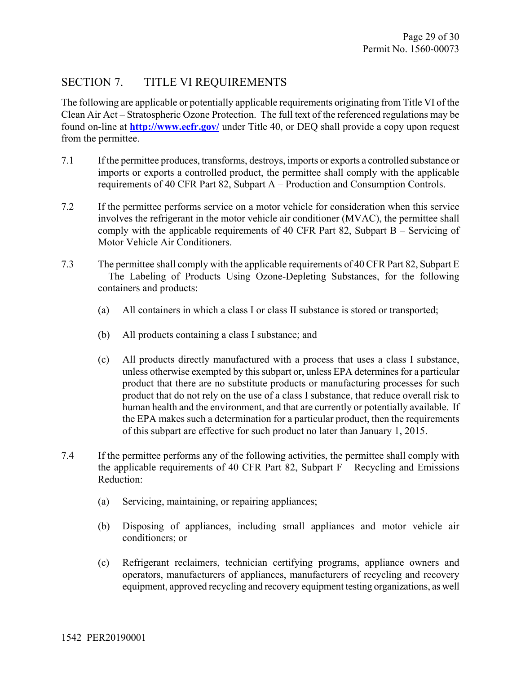## SECTION 7. TITLE VI REQUIREMENTS

The following are applicable or potentially applicable requirements originating from Title VI of the Clean Air Act – Stratospheric Ozone Protection. The full text of the referenced regulations may be found on-line at **http://www.ecfr.gov/** under Title 40, or DEQ shall provide a copy upon request from the permittee.

- 7.1 If the permittee produces, transforms, destroys, imports or exports a controlled substance or imports or exports a controlled product, the permittee shall comply with the applicable requirements of 40 CFR Part 82, Subpart A – Production and Consumption Controls.
- 7.2 If the permittee performs service on a motor vehicle for consideration when this service involves the refrigerant in the motor vehicle air conditioner (MVAC), the permittee shall comply with the applicable requirements of 40 CFR Part 82, Subpart B – Servicing of Motor Vehicle Air Conditioners.
- 7.3 The permittee shall comply with the applicable requirements of 40 CFR Part 82, Subpart E – The Labeling of Products Using Ozone-Depleting Substances, for the following containers and products:
	- (a) All containers in which a class I or class II substance is stored or transported;
	- (b) All products containing a class I substance; and
	- (c) All products directly manufactured with a process that uses a class I substance, unless otherwise exempted by this subpart or, unless EPA determines for a particular product that there are no substitute products or manufacturing processes for such product that do not rely on the use of a class I substance, that reduce overall risk to human health and the environment, and that are currently or potentially available. If the EPA makes such a determination for a particular product, then the requirements of this subpart are effective for such product no later than January 1, 2015.
- 7.4 If the permittee performs any of the following activities, the permittee shall comply with the applicable requirements of 40 CFR Part 82, Subpart  $\overline{F}$  – Recycling and Emissions Reduction:
	- (a) Servicing, maintaining, or repairing appliances;
	- (b) Disposing of appliances, including small appliances and motor vehicle air conditioners; or
	- (c) Refrigerant reclaimers, technician certifying programs, appliance owners and operators, manufacturers of appliances, manufacturers of recycling and recovery equipment, approved recycling and recovery equipment testing organizations, as well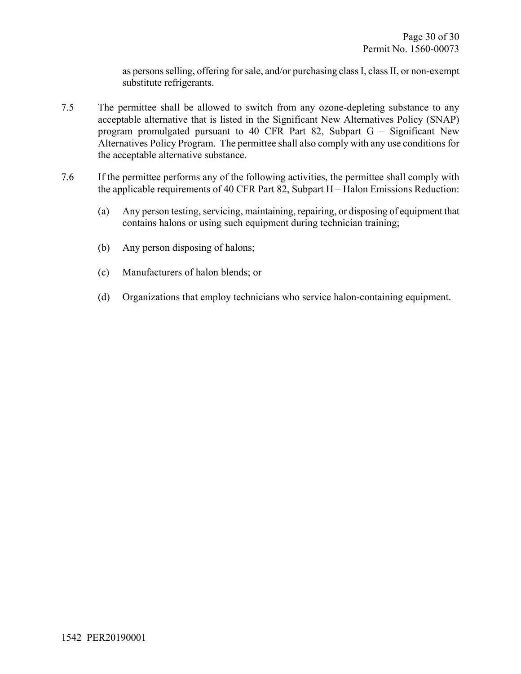as persons selling, offering for sale, and/or purchasing class I, class II, or non-exempt substitute refrigerants.

- 7.5 The permittee shall be allowed to switch from any ozone-depleting substance to any acceptable alternative that is listed in the Significant New Alternatives Policy (SNAP) program promulgated pursuant to 40 CFR Part 82, Subpart G – Significant New Alternatives Policy Program. The permittee shall also comply with any use conditions for the acceptable alternative substance.
- 7.6 If the permittee performs any of the following activities, the permittee shall comply with the applicable requirements of 40 CFR Part 82, Subpart H – Halon Emissions Reduction:
	- (a) Any person testing, servicing, maintaining, repairing, or disposing of equipment that contains halons or using such equipment during technician training;
	- (b) Any person disposing of halons;
	- (c) Manufacturers of halon blends; or
	- (d) Organizations that employ technicians who service halon-containing equipment.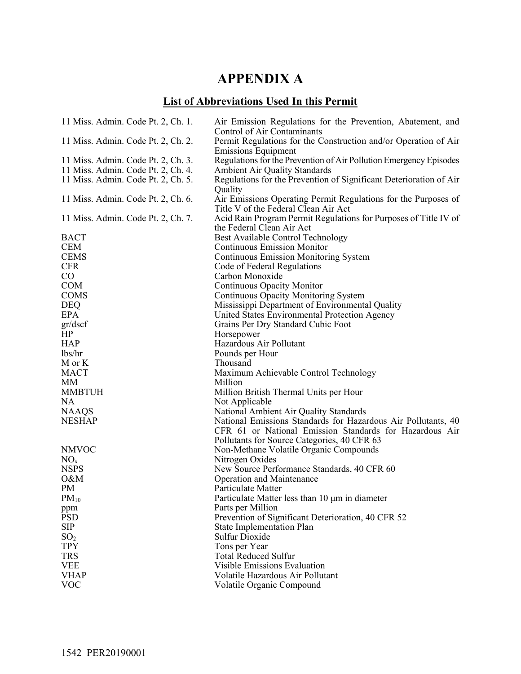## **APPENDIX A**

## **List of Abbreviations Used In this Permit**

| 11 Miss. Admin. Code Pt. 2, Ch. 1. | Air Emission Regulations for the Prevention, Abatement, and<br>Control of Air Contaminants             |
|------------------------------------|--------------------------------------------------------------------------------------------------------|
| 11 Miss. Admin. Code Pt. 2, Ch. 2. | Permit Regulations for the Construction and/or Operation of Air<br><b>Emissions Equipment</b>          |
| 11 Miss. Admin. Code Pt. 2, Ch. 3. | Regulations for the Prevention of Air Pollution Emergency Episodes                                     |
| 11 Miss. Admin. Code Pt. 2, Ch. 4. | <b>Ambient Air Quality Standards</b>                                                                   |
| 11 Miss. Admin. Code Pt. 2, Ch. 5. | Regulations for the Prevention of Significant Deterioration of Air                                     |
|                                    | Quality                                                                                                |
| 11 Miss. Admin. Code Pt. 2, Ch. 6. | Air Emissions Operating Permit Regulations for the Purposes of<br>Title V of the Federal Clean Air Act |
| 11 Miss. Admin. Code Pt. 2, Ch. 7. | Acid Rain Program Permit Regulations for Purposes of Title IV of                                       |
|                                    | the Federal Clean Air Act                                                                              |
| <b>BACT</b>                        | Best Available Control Technology                                                                      |
| <b>CEM</b>                         | <b>Continuous Emission Monitor</b>                                                                     |
| <b>CEMS</b>                        | <b>Continuous Emission Monitoring System</b>                                                           |
| <b>CFR</b>                         | Code of Federal Regulations                                                                            |
| CO                                 | Carbon Monoxide                                                                                        |
| <b>COM</b>                         | Continuous Opacity Monitor                                                                             |
| <b>COMS</b>                        | Continuous Opacity Monitoring System                                                                   |
| <b>DEQ</b>                         | Mississippi Department of Environmental Quality                                                        |
| <b>EPA</b>                         | United States Environmental Protection Agency                                                          |
| gr/dscf                            | Grains Per Dry Standard Cubic Foot                                                                     |
| HP                                 | Horsepower                                                                                             |
| <b>HAP</b>                         | Hazardous Air Pollutant                                                                                |
| lbs/hr                             | Pounds per Hour                                                                                        |
| M or K                             | Thousand                                                                                               |
| <b>MACT</b>                        | Maximum Achievable Control Technology                                                                  |
| МM                                 | Million                                                                                                |
| <b>MMBTUH</b>                      | Million British Thermal Units per Hour                                                                 |
| <b>NA</b>                          | Not Applicable                                                                                         |
| <b>NAAQS</b>                       | National Ambient Air Quality Standards                                                                 |
| <b>NESHAP</b>                      | National Emissions Standards for Hazardous Air Pollutants, 40                                          |
|                                    | CFR 61 or National Emission Standards for Hazardous Air                                                |
|                                    | Pollutants for Source Categories, 40 CFR 63                                                            |
| <b>NMVOC</b>                       | Non-Methane Volatile Organic Compounds                                                                 |
| NO <sub>x</sub>                    | Nitrogen Oxides                                                                                        |
| <b>NSPS</b>                        | New Source Performance Standards, 40 CFR 60                                                            |
| O&M                                | Operation and Maintenance                                                                              |
| PM                                 | Particulate Matter                                                                                     |
| $PM_{10}$                          | Particulate Matter less than 10 µm in diameter                                                         |
| ppm                                | Parts per Million                                                                                      |
| <b>PSD</b><br><b>SIP</b>           | Prevention of Significant Deterioration, 40 CFR 52<br><b>State Implementation Plan</b>                 |
|                                    | <b>Sulfur Dioxide</b>                                                                                  |
| SO <sub>2</sub><br><b>TPY</b>      |                                                                                                        |
| <b>TRS</b>                         | Tons per Year<br><b>Total Reduced Sulfur</b>                                                           |
| <b>VEE</b>                         | Visible Emissions Evaluation                                                                           |
| <b>VHAP</b>                        | Volatile Hazardous Air Pollutant                                                                       |
| <b>VOC</b>                         | Volatile Organic Compound                                                                              |
|                                    |                                                                                                        |